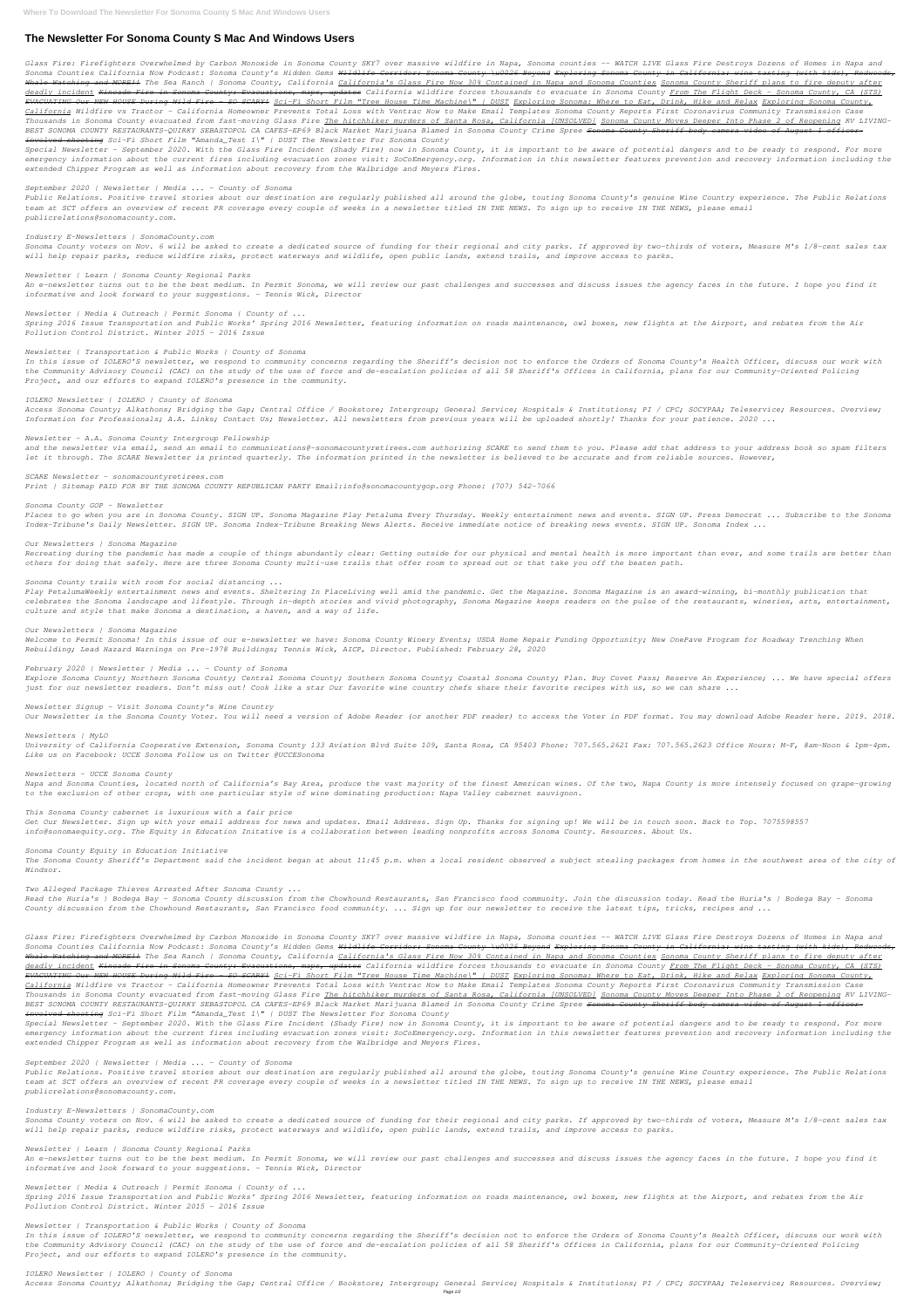# **The Newsletter For Sonoma County S Mac And Windows Users**

*Glass Fire: Firefighters Overwhelmed by Carbon Monoxide in Sonoma County SKY7 over massive wildfire in Napa, Sonoma counties -- WATCH LIVE Glass Fire Destroys Dozens of Homes in Napa and Sonoma Counties California Now Podcast: Sonoma County's Hidden Gems Wildlife Corridor: Sonoma County \u0026 Beyond Exploring Sonoma County in California: wine tasting (with kids), Redwoods, Whale Watching and MORE!! The Sea Ranch | Sonoma County, California California's Glass Fire Now 30% Contained in Napa and Sonoma Counties Sonoma County Sheriff plans to fire deputy after deadly incident Kincade Fire in Sonoma County: Evacuations, maps, updates California wildfire forces thousands to evacuate in Sonoma County From The Flight Deck - Sonoma County, CA (STS) EVACUATING Our NEW HOUSE During Wild Fire - SO SCARY! Sci-Fi Short Film "Tree House Time Machine\" | DUST Exploring Sonoma: Where to Eat, Drink, Hike and Relax Exploring Sonoma County, California Wildfire vs Tractor - California Homeowner Prevents Total Loss with Ventrac How to Make Email Templates Sonoma County Reports First Coronavirus Community Transmission Case Thousands in Sonoma County evacuated from fast-moving Glass Fire The hitchhiker murders of Santa Rosa, California [UNSOLVED] Sonoma County Moves Deeper Into Phase 2 of Reopening RV LIVING-BEST SONOMA COUNTY RESTAURANTS-QUIRKY SEBASTOPOL CA CAFES-EP69 Black Market Marijuana Blamed in Sonoma County Crime Spree Sonoma County Sheriff body camera video of August 1 officerinvolved shooting Sci-Fi Short Film "Amanda\_Test 1\" | DUST The Newsletter For Sonoma County*

*Special Newsletter – September 2020. With the Glass Fire Incident (Shady Fire) now in Sonoma County, it is important to be aware of potential dangers and to be ready to respond. For more emergency information about the current fires including evacuation zones visit: SoCoEmergency.org. Information in this newsletter features prevention and recovery information including the extended Chipper Program as well as information about recovery from the Walbridge and Meyers Fires.*

## *September 2020 | Newsletter | Media ... - County of Sonoma*

*Public Relations. Positive travel stories about our destination are regularly published all around the globe, touting Sonoma County's genuine Wine Country experience. The Public Relations team at SCT offers an overview of recent PR coverage every couple of weeks in a newsletter titled IN THE NEWS. To sign up to receive IN THE NEWS, please email publicrelations@sonomacounty.com.*

## *Industry E-Newsletters | SonomaCounty.com*

*Sonoma County voters on Nov. 6 will be asked to create a dedicated source of funding for their regional and city parks. If approved by two-thirds of voters, Measure M's 1/8-cent sales tax will help repair parks, reduce wildfire risks, protect waterways and wildlife, open public lands, extend trails, and improve access to parks.*

# *Newsletter | Learn | Sonoma County Regional Parks*

*An e-newsletter turns out to be the best medium. In Permit Sonoma, we will review our past challenges and successes and discuss issues the agency faces in the future. I hope you find it informative and look forward to your suggestions. – Tennis Wick, Director*

# *Newsletter | Media & Outreach | Permit Sonoma | County of ...*

*Spring 2016 Issue Transportation and Public Works' Spring 2016 Newsletter, featuring information on roads maintenance, owl boxes, new flights at the Airport, and rebates from the Air Pollution Control District. Winter 2015 - 2016 Issue*

# *Newsletter | Transportation & Public Works | County of Sonoma*

*In this issue of IOLERO'S newsletter, we respond to community concerns regarding the Sheriff's decision not to enforce the Orders of Sonoma County's Health Officer, discuss our work with the Community Advisory Council (CAC) on the study of the use of force and de-escalation policies of all 58 Sheriff's Offices in California, plans for our Community-Oriented Policing Project, and our efforts to expand IOLERO's presence in the community.*

## *IOLERO Newsletter | IOLERO | County of Sonoma*

*Access Sonoma County; Alkathons; Bridging the Gap; Central Office / Bookstore; Intergroup; General Service; Hospitals & Institutions; PI / CPC; SOCYPAA; Teleservice; Resources. Overview; Information for Professionals; A.A. Links; Contact Us; Newsletter. All newsletters from previous years will be uploaded shortly! Thanks for your patience. 2020 ...*

## *Newsletter – A.A. Sonoma County Intergroup Fellowship*

*and the newsletter via email, send an email to communications@-sonomacountyretirees.com authorizing SCARE to send them to you. Please add that address to your address book so spam filters let it through. The SCARE Newsletter is printed quarterly. The information printed in the newsletter is believed to be accurate and from reliable sources. However,*

## *SCARE Newsletter - sonomacountyretirees.com*

*Print | Sitemap PAID FOR BY THE SONOMA COUNTY REPUBLICAN PARTY Email:info@sonomacountygop.org Phone: (707) 542-7066*

#### *Sonoma County GOP - Newsletter*

Glass Fire: Firefighters Overwhelmed by Carbon Monoxide in Sonoma County SKY7 over massive wildfire in Napa, Sonoma counties -- WATCH LIVE Glass Fire Destroys Dozens of Homes in Napa and *Sonoma Counties California Now Podcast: Sonoma County's Hidden Gems Wildlife Corridor: Sonoma County \u0026 Beyond Exploring Sonoma County in California: wine tasting (with kids), Redwoods, Whale Watching and MORE!! The Sea Ranch | Sonoma County, California California's Glass Fire Now 30% Contained in Napa and Sonoma Counties Sonoma County Sheriff plans to fire deputy after deadly incident Kincade Fire in Sonoma County: Evacuations, maps, updates California wildfire forces thousands to evacuate in Sonoma County From The Flight Deck - Sonoma County, CA (STS) EVACUATING Our NEW HOUSE During Wild Fire - SO SCARY! Sci-Fi Short Film "Tree House Time Machine\" | DUST Exploring Sonoma: Where to Eat, Drink, Hike and Relax Exploring Sonoma County, California Wildfire vs Tractor - California Homeowner Prevents Total Loss with Ventrac How to Make Email Templates Sonoma County Reports First Coronavirus Community Transmission Case Thousands in Sonoma County evacuated from fast-moving Glass Fire The hitchhiker murders of Santa Rosa, California [UNSOLVED] Sonoma County Moves Deeper Into Phase 2 of Reopening RV LIVING-BEST SONOMA COUNTY RESTAURANTS-QUIRKY SEBASTOPOL CA CAFES-EP69 Black Market Marijuana Blamed in Sonoma County Crime Spree Sonoma County Sheriff body camera video of August 1 officerinvolved shooting Sci-Fi Short Film "Amanda\_Test 1\" | DUST The Newsletter For Sonoma County*

*Places to go when you are in Sonoma County. SIGN UP. Sonoma Magazine Play Petaluma Every Thursday. Weekly entertainment news and events. SIGN UP. Press Democrat ... Subscribe to the Sonoma Index-Tribune's Daily Newsletter. SIGN UP. Sonoma Index-Tribune Breaking News Alerts. Receive immediate notice of breaking news events. SIGN UP. Sonoma Index ...*

#### *Our Newsletters | Sonoma Magazine*

*Recreating during the pandemic has made a couple of things abundantly clear: Getting outside for our physical and mental health is more important than ever, and some trails are better than others for doing that safely. Here are three Sonoma County multi-use trails that offer room to spread out or that take you off the beaten path.*

## *Sonoma County trails with room for social distancing ...*

*Play PetalumaWeekly entertainment news and events. Sheltering In PlaceLiving well amid the pandemic. Get the Magazine. Sonoma Magazine is an award-winning, bi-monthly publication that celebrates the Sonoma landscape and lifestyle. Through in-depth stories and vivid photography, Sonoma Magazine keeps readers on the pulse of the restaurants, wineries, arts, entertainment, culture and style that make Sonoma a destination, a haven, and a way of life.*

## *Our Newsletters | Sonoma Magazine*

*Welcome to Permit Sonoma! In this issue of our e-newsletter we have: Sonoma County Winery Events; USDA Home Repair Funding Opportunity; New OnePave Program for Roadway Trenching When Rebuilding; Lead Hazard Warnings on Pre-1978 Buildings; Tennis Wick, AICP, Director. Published: February 28, 2020*

## *February 2020 | Newsletter | Media ... - County of Sonoma*

*Explore Sonoma County; Northern Sonoma County; Central Sonoma County; Southern Sonoma County; Coastal Sonoma County; Plan. Buy Covet Pass; Reserve An Experience; ... We have special offers just for our newsletter readers. Don't miss out! Cook like a star Our favorite wine country chefs share their favorite recipes with us, so we can share ...*

## *Newsletter Signup - Visit Sonoma County's Wine Country*

*Our Newsletter is the Sonoma County Voter. You will need a version of Adobe Reader (or another PDF reader) to access the Voter in PDF format. You may download Adobe Reader here. 2019. 2018.*

## *Newsletters | MyLO*

*University of California Cooperative Extension, Sonoma County 133 Aviation Blvd Suite 109, Santa Rosa, CA 95403 Phone: 707.565.2621 Fax: 707.565.2623 Office Hours: M-F, 8am-Noon & 1pm-4pm. Like us on Facebook: UCCE Sonoma Follow us on Twitter @UCCESonoma*

## *Newsletters - UCCE Sonoma County*

*Napa and Sonoma Counties, located north of California's Bay Area, produce the vast majority of the finest American wines. Of the two, Napa County is more intensely focused on grape-growing to the exclusion of other crops, with one particular style of wine dominating production: Napa Valley cabernet sauvignon.*

## *This Sonoma County cabernet is luxurious with a fair price*

*Get Our Newsletter. Sign up with your email address for news and updates. Email Address. Sign Up. Thanks for signing up! We will be in touch soon. Back to Top. 7075598557 info@sonomaequity.org. The Equity in Education Initative is a collaboration between leading nonprofits across Sonoma County. Resources. About Us.*

# *Sonoma County Equity in Education Initiative*

*The Sonoma County Sheriff's Department said the incident began at about 11:45 p.m. when a local resident observed a subject stealing packages from homes in the southwest area of the city of Windsor.*

# *Two Alleged Package Thieves Arrested After Sonoma County ...*

*Read the Huria's | Bodega Bay - Sonoma County discussion from the Chowhound Restaurants, San Francisco food community. Join the discussion today. Read the Huria's | Bodega Bay - Sonoma County discussion from the Chowhound Restaurants, San Francisco food community. ... Sign up for our newsletter to receive the latest tips, tricks, recipes and ...*

*Special Newsletter – September 2020. With the Glass Fire Incident (Shady Fire) now in Sonoma County, it is important to be aware of potential dangers and to be ready to respond. For more emergency information about the current fires including evacuation zones visit: SoCoEmergency.org. Information in this newsletter features prevention and recovery information including the extended Chipper Program as well as information about recovery from the Walbridge and Meyers Fires.*

*September 2020 | Newsletter | Media ... - County of Sonoma*

*Public Relations. Positive travel stories about our destination are regularly published all around the globe, touting Sonoma County's genuine Wine Country experience. The Public Relations team at SCT offers an overview of recent PR coverage every couple of weeks in a newsletter titled IN THE NEWS. To sign up to receive IN THE NEWS, please email publicrelations@sonomacounty.com.*

*Industry E-Newsletters | SonomaCounty.com*

*Sonoma County voters on Nov. 6 will be asked to create a dedicated source of funding for their regional and city parks. If approved by two-thirds of voters, Measure M's 1/8-cent sales tax will help repair parks, reduce wildfire risks, protect waterways and wildlife, open public lands, extend trails, and improve access to parks.*

*Newsletter | Learn | Sonoma County Regional Parks*

*An e-newsletter turns out to be the best medium. In Permit Sonoma, we will review our past challenges and successes and discuss issues the agency faces in the future. I hope you find it informative and look forward to your suggestions. – Tennis Wick, Director*

*Newsletter | Media & Outreach | Permit Sonoma | County of ...*

*Spring 2016 Issue Transportation and Public Works' Spring 2016 Newsletter, featuring information on roads maintenance, owl boxes, new flights at the Airport, and rebates from the Air Pollution Control District. Winter 2015 - 2016 Issue*

*Newsletter | Transportation & Public Works | County of Sonoma*

*In this issue of IOLERO'S newsletter, we respond to community concerns regarding the Sheriff's decision not to enforce the Orders of Sonoma County's Health Officer, discuss our work with the Community Advisory Council (CAC) on the study of the use of force and de-escalation policies of all 58 Sheriff's Offices in California, plans for our Community-Oriented Policing Project, and our efforts to expand IOLERO's presence in the community.*

*IOLERO Newsletter | IOLERO | County of Sonoma*

*Access Sonoma County; Alkathons; Bridging the Gap; Central Office / Bookstore; Intergroup; General Service; Hospitals & Institutions; PI / CPC; SOCYPAA; Teleservice; Resources. Overview;*